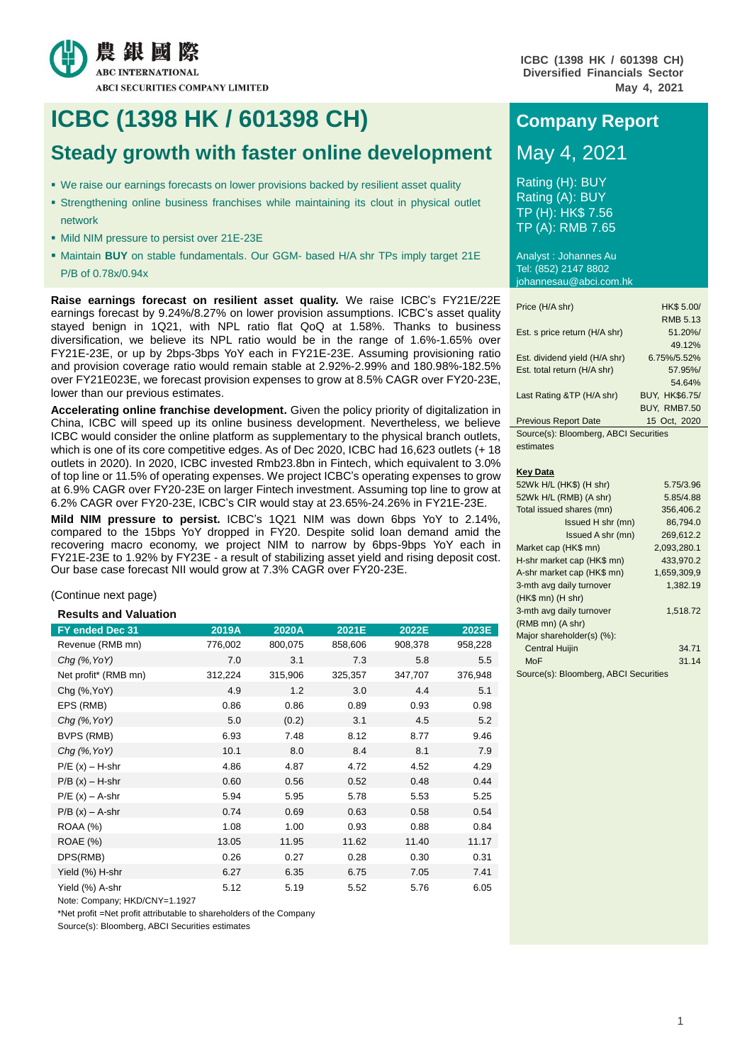

**ICBC (1398 HK / 601398 CH) Diversified Financials Sector May 4, 2021**

# **ICBC** (1398 HK / 601398 CH) **Company Report**

# **Steady growth with faster online development** May 4, 2021

- We raise our earnings forecasts on lower provisions backed by resilient asset quality
- Strengthening online business franchises while maintaining its clout in physical outlet network
- Mild NIM pressure to persist over 21E-23E
- **Maintain BUY** on stable fundamentals. Our GGM- based H/A shr TPs imply target 21E P/B of 0.78x/0.94x

**Raise earnings forecast on resilient asset quality.** We raise ICBC's FY21E/22E earnings forecast by 9.24%/8.27% on lower provision assumptions. ICBC's asset quality stayed benign in 1Q21, with NPL ratio flat QoQ at 1.58%. Thanks to business diversification, we believe its NPL ratio would be in the range of 1.6%-1.65% over FY21E-23E, or up by 2bps-3bps YoY each in FY21E-23E. Assuming provisioning ratio and provision coverage ratio would remain stable at 2.92%-2.99% and 180.98%-182.5% over FY21E023E, we forecast provision expenses to grow at 8.5% CAGR over FY20-23E, lower than our previous estimates.

**Accelerating online franchise development.** Given the policy priority of digitalization in China, ICBC will speed up its online business development. Nevertheless, we believe ICBC would consider the online platform as supplementary to the physical branch outlets, which is one of its core competitive edges. As of Dec 2020, ICBC had 16,623 outlets (+ 18 outlets in 2020). In 2020, ICBC invested Rmb23.8bn in Fintech, which equivalent to 3.0% of top line or 11.5% of operating expenses. We project ICBC's operating expenses to grow at 6.9% CAGR over FY20-23E on larger Fintech investment. Assuming top line to grow at 6.2% CAGR over FY20-23E, ICBC's CIR would stay at 23.65%-24.26% in FY21E-23E.

**Mild NIM pressure to persist.** ICBC's 1Q21 NIM was down 6bps YoY to 2.14%, compared to the 15bps YoY dropped in FY20. Despite solid loan demand amid the recovering macro economy, we project NIM to narrow by 6bps-9bps YoY each in FY21E-23E to 1.92% by FY23E - a result of stabilizing asset yield and rising deposit cost. Our base case forecast NII would grow at 7.3% CAGR over FY20-23E.

(Continue next page)

# **Results and Valuation**

| FY ended Dec 31      | 2019A   | 2020A   | 2021E   | 2022E   | 2023E   |
|----------------------|---------|---------|---------|---------|---------|
| Revenue (RMB mn)     | 776,002 | 800,075 | 858,606 | 908,378 | 958,228 |
| $Chq$ (%, YoY)       | 7.0     | 3.1     | 7.3     | 5.8     | 5.5     |
| Net profit* (RMB mn) | 312,224 | 315,906 | 325,357 | 347,707 | 376,948 |
| Chg (%, YoY)         | 4.9     | 1.2     | 3.0     | 4.4     | 5.1     |
| EPS (RMB)            | 0.86    | 0.86    | 0.89    | 0.93    | 0.98    |
| $Chq$ (%, YoY)       | 5.0     | (0.2)   | 3.1     | 4.5     | 5.2     |
| BVPS (RMB)           | 6.93    | 7.48    | 8.12    | 8.77    | 9.46    |
| $Chq$ (%, YoY)       | 10.1    | 8.0     | 8.4     | 8.1     | 7.9     |
| $P/E(x) - H-shr$     | 4.86    | 4.87    | 4.72    | 4.52    | 4.29    |
| $P/B(x) - H-shr$     | 0.60    | 0.56    | 0.52    | 0.48    | 0.44    |
| $P/E(x) - A-shr$     | 5.94    | 5.95    | 5.78    | 5.53    | 5.25    |
| $P/B(x) - A-shr$     | 0.74    | 0.69    | 0.63    | 0.58    | 0.54    |
| <b>ROAA (%)</b>      | 1.08    | 1.00    | 0.93    | 0.88    | 0.84    |
| ROAE (%)             | 13.05   | 11.95   | 11.62   | 11.40   | 11.17   |
| DPS(RMB)             | 0.26    | 0.27    | 0.28    | 0.30    | 0.31    |
| Yield (%) H-shr      | 6.27    | 6.35    | 6.75    | 7.05    | 7.41    |
| Yield (%) A-shr      | 5.12    | 5.19    | 5.52    | 5.76    | 6.05    |

Note: Company; HKD/CNY=1.1927

\*Net profit =Net profit attributable to shareholders of the Company

Source(s): Bloomberg, ABCI Securities estimates

Rating (H): BUY Rating (A): BUY TP (H): HK\$ 7.56 TP (A): RMB 7.65

Analyst : Johannes Au Tel: (852) 2147 8802 johannesau@abci.com.hk

| Price (H/A shr)                    | HK\$ 5.00/                    |
|------------------------------------|-------------------------------|
|                                    | <b>RMB 5.13</b>               |
| Est. s price return (H/A shr)      | 51.20%/                       |
|                                    | 49.12%                        |
| Est. dividend yield (H/A shr)      | 6.75%/5.52%                   |
| Est. total return (H/A shr)        | 57.95%/                       |
|                                    | 54.64%                        |
| Last Rating &TP (H/A shr)          | BUY, HK\$6.75/                |
|                                    | <b>BUY, RMB7.50</b>           |
| <b>Previous Report Date</b>        | 15 Oct, 2020                  |
| $\sim$ $\sim$ $\sim$ $\sim$ $\sim$ | $\mathbf{r} \cdot \mathbf{n}$ |

Source(s): Bloomberg, ABCI Securities estimates

#### **Key Data**

| 52Wk H/L (HK\$) (H shr)               | 5.75/3.96   |
|---------------------------------------|-------------|
| 52Wk H/L (RMB) (A shr)                | 5.85/4.88   |
| Total issued shares (mn)              | 356,406.2   |
| Issued H shr (mn)                     | 86.794.0    |
| Issued A shr (mn)                     | 269,612.2   |
| Market cap (HK\$ mn)                  | 2,093,280.1 |
| H-shr market cap (HK\$ mn)            | 433,970.2   |
| A-shr market cap (HK\$ mn)            | 1,659,309,9 |
| 3-mth avg daily turnover              | 1,382.19    |
| (HK\$ mn) (H shr)                     |             |
| 3-mth avg daily turnover              | 1,518.72    |
| (RMB mn) (A shr)                      |             |
| Major shareholder(s) (%):             |             |
| <b>Central Huijin</b>                 | 34.71       |
| MoF                                   | 31.14       |
| Source(s): Bloomberg, ABCI Securities |             |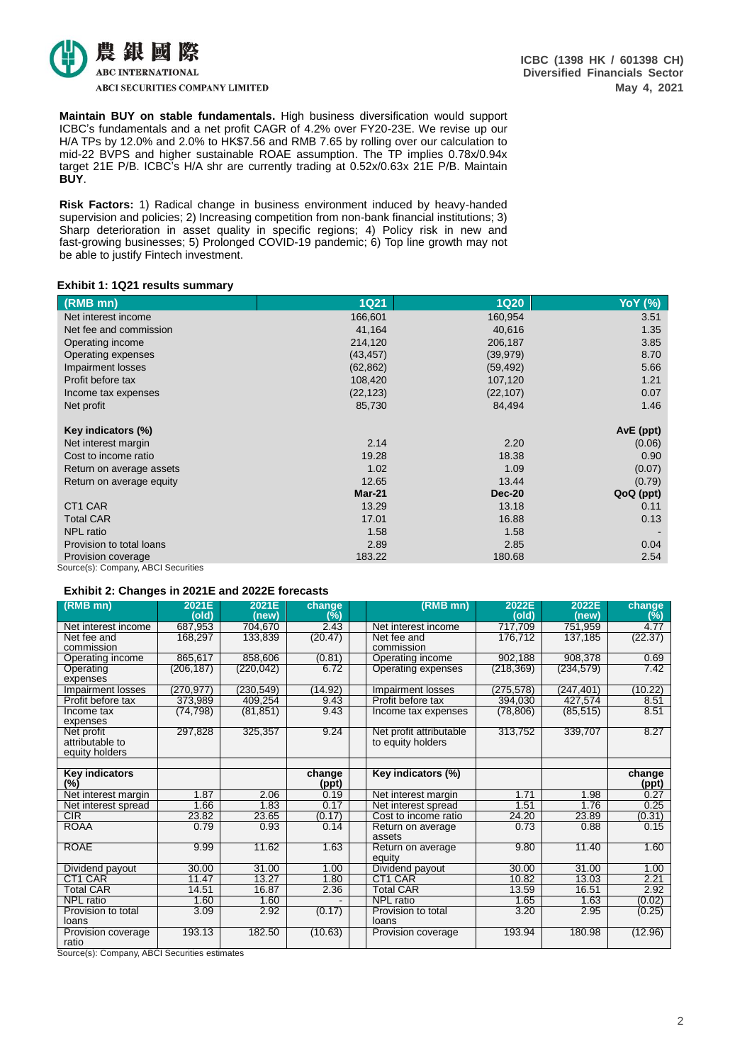

**Maintain BUY on stable fundamentals.** High business diversification would support ICBC's fundamentals and a net profit CAGR of 4.2% over FY20-23E. We revise up our H/A TPs by 12.0% and 2.0% to HK\$7.56 and RMB 7.65 by rolling over our calculation to mid-22 BVPS and higher sustainable ROAE assumption. The TP implies 0.78x/0.94x target 21E P/B. ICBC's H/A shr are currently trading at 0.52x/0.63x 21E P/B. Maintain **BUY**.

**Risk Factors:** 1) Radical change in business environment induced by heavy-handed supervision and policies; 2) Increasing competition from non-bank financial institutions; 3) Sharp deterioration in asset quality in specific regions; 4) Policy risk in new and fast-growing businesses; 5) Prolonged COVID-19 pandemic; 6) Top line growth may not be able to justify Fintech investment.

## **Exhibit 1: 1Q21 results summary**

| (RMB mn)                            | <b>1Q21</b> | <b>1Q20</b>   | <b>YoY</b> (%) |
|-------------------------------------|-------------|---------------|----------------|
| Net interest income                 | 166,601     | 160,954       | 3.51           |
| Net fee and commission              | 41,164      | 40,616        | 1.35           |
| Operating income                    | 214,120     | 206,187       | 3.85           |
| Operating expenses                  | (43, 457)   | (39, 979)     | 8.70           |
| Impairment losses                   | (62, 862)   | (59, 492)     | 5.66           |
| Profit before tax                   | 108,420     | 107,120       | 1.21           |
| Income tax expenses                 | (22, 123)   | (22, 107)     | 0.07           |
| Net profit                          | 85,730      | 84,494        | 1.46           |
| Key indicators (%)                  |             |               | $AVE$ (ppt)    |
| Net interest margin                 | 2.14        | 2.20          | (0.06)         |
| Cost to income ratio                | 19.28       | 18.38         | 0.90           |
| Return on average assets            | 1.02        | 1.09          | (0.07)         |
| Return on average equity            | 12.65       | 13.44         | (0.79)         |
|                                     | $Mar-21$    | <b>Dec-20</b> | QoQ (ppt)      |
| CT <sub>1</sub> CAR                 | 13.29       | 13.18         | 0.11           |
| <b>Total CAR</b>                    | 17.01       | 16.88         | 0.13           |
| <b>NPL</b> ratio                    | 1.58        | 1.58          |                |
| Provision to total loans            | 2.89        | 2.85          | 0.04           |
| Provision coverage                  | 183.22      | 180.68        | 2.54           |
| Source(s): Company, ABCI Securities |             |               |                |

## **Exhibit 2: Changes in 2021E and 2022E forecasts**

| (RMB mn)            | 2021E      | 2021E      | change  | (RMB mn)                | 2022E      | 2022E      | change  |
|---------------------|------------|------------|---------|-------------------------|------------|------------|---------|
|                     | (old)      | (new)      | (%)     |                         | (old)      | (new)      | (%)     |
| Net interest income | 687,953    | 704,670    | 2.43    | Net interest income     | 717,709    | 751,959    | 4.77    |
| Net fee and         | 168,297    | 133,839    | (20.47) | Net fee and             | 176,712    | 137,185    | (22.37) |
| commission          |            |            |         | commission              |            |            |         |
| Operating income    | 865,617    | 858,606    | (0.81)  | Operating income        | 902,188    | 908,378    | 0.69    |
| Operating           | (206, 187) | (220, 042) | 6.72    | Operating expenses      | (218, 369) | (234, 579) | 7.42    |
| expenses            |            |            |         |                         |            |            |         |
| Impairment losses   | (270, 977) | (230, 549) | (14.92) | Impairment losses       | (275, 578) | (247, 401) | (10.22) |
| Profit before tax   | 373,989    | 409,254    | 9.43    | Profit before tax       | 394,030    | 427,574    | 8.51    |
| Income tax          | (74, 798)  | (81, 851)  | 9.43    | Income tax expenses     | (78, 806)  | (85, 515)  | 8.51    |
| expenses            |            |            |         |                         |            |            |         |
| Net profit          | 297,828    | 325,357    | 9.24    | Net profit attributable | 313,752    | 339,707    | 8.27    |
| attributable to     |            |            |         | to equity holders       |            |            |         |
| equity holders      |            |            |         |                         |            |            |         |
|                     |            |            |         |                         |            |            |         |
| Key indicators      |            |            | change  | Key indicators (%)      |            |            | change  |
| (%)                 |            |            | (ppt)   |                         |            |            | (ppt)   |
| Net interest margin | 1.87       | 2.06       | 0.19    | Net interest margin     | 1.71       | 1.98       | 0.27    |
| Net interest spread | 1.66       | 1.83       | 0.17    | Net interest spread     | 1.51       | 1.76       | 0.25    |
| CIR                 | 23.82      | 23.65      | (0.17)  | Cost to income ratio    | 24.20      | 23.89      | (0.31)  |
| <b>ROAA</b>         | 0.79       | 0.93       | 0.14    | Return on average       | 0.73       | 0.88       | 0.15    |
|                     |            |            |         | assets                  |            |            |         |
| <b>ROAE</b>         | 9.99       | 11.62      | 1.63    | Return on average       | 9.80       | 11.40      | 1.60    |
|                     |            |            |         | equity                  |            |            |         |
| Dividend payout     | 30.00      | 31.00      | 1.00    | Dividend payout         | 30.00      | 31.00      | 1.00    |
| CT1 CAR             | 11.47      | 13.27      | 1.80    | CT1 CAR                 | 10.82      | 13.03      | 2.21    |
| Total CAR           | 14.51      | 16.87      | 2.36    | Total CAR               | 13.59      | 16.51      | 2.92    |
| NPL ratio           | 1.60       | 1.60       |         | <b>NPL</b> ratio        | 1.65       | 1.63       | (0.02)  |
| Provision to total  | 3.09       | 2.92       | (0.17)  | Provision to total      | 3.20       | 2.95       | (0.25)  |
| loans               |            |            |         | loans                   |            |            |         |
| Provision coverage  | 193.13     | 182.50     | (10.63) | Provision coverage      | 193.94     | 180.98     | (12.96) |
| ratio               |            |            |         |                         |            |            |         |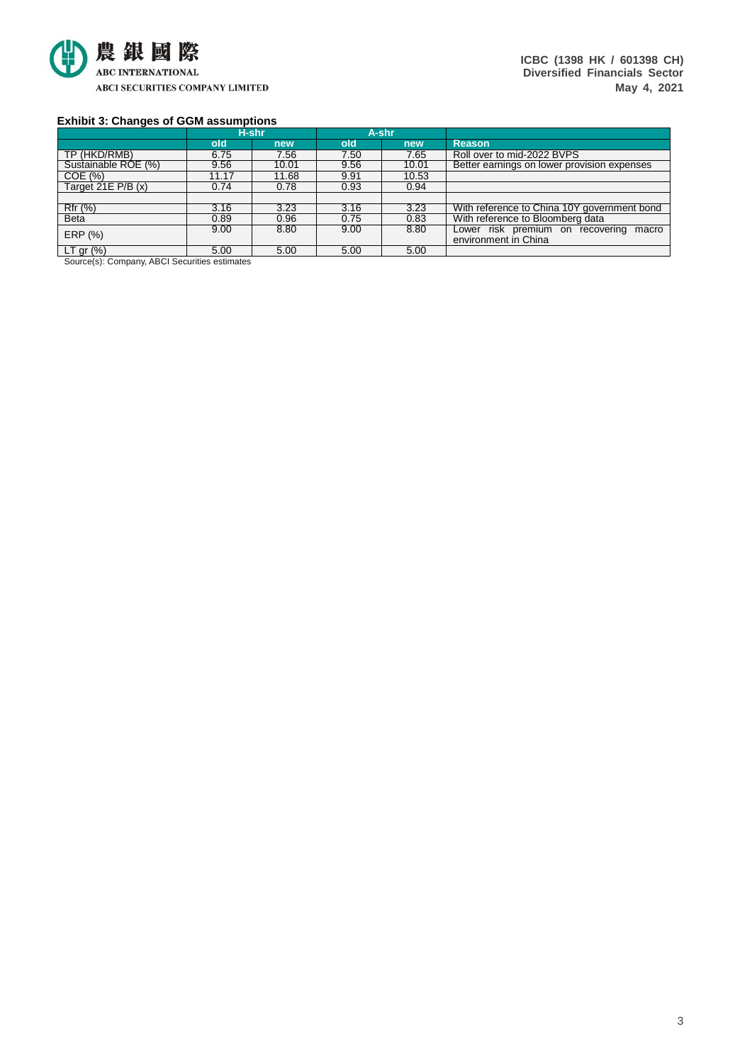

**ICBC (1398 HK / 601398 CH) Diversified Financials Sector May 4, 2021**

# **Exhibit 3: Changes of GGM assumptions**

|                                     |       | H-shr |      | A-shr |                                             |
|-------------------------------------|-------|-------|------|-------|---------------------------------------------|
|                                     | old   | new   | old  | new   | <b>Reason</b>                               |
| TP (HKD/RMB)                        | 6.75  | 7.56  | 7.50 | 7.65  | Roll over to mid-2022 BVPS                  |
| Sustainable ROE (%)                 | 9.56  | 10.01 | 9.56 | 10.01 | Better earnings on lower provision expenses |
| COE(%)                              | 11.17 | 11.68 | 9.91 | 10.53 |                                             |
| Target 21E $P/B(x)$                 | 0.74  | 0.78  | 0.93 | 0.94  |                                             |
|                                     |       |       |      |       |                                             |
| Rfr (%)                             | 3.16  | 3.23  | 3.16 | 3.23  | With reference to China 10Y government bond |
| <b>Beta</b>                         | 0.89  | 0.96  | 0.75 | 0.83  | With reference to Bloomberg data            |
| ERP (%)                             | 9.00  | 8.80  | 9.00 | 8.80  | Lower risk premium on recovering macro      |
|                                     |       |       |      |       | environment in China                        |
| $LT$ gr $(\%)$<br>.<br>$\sim$ $  -$ | 5.00  | 5.00  | 5.00 | 5.00  |                                             |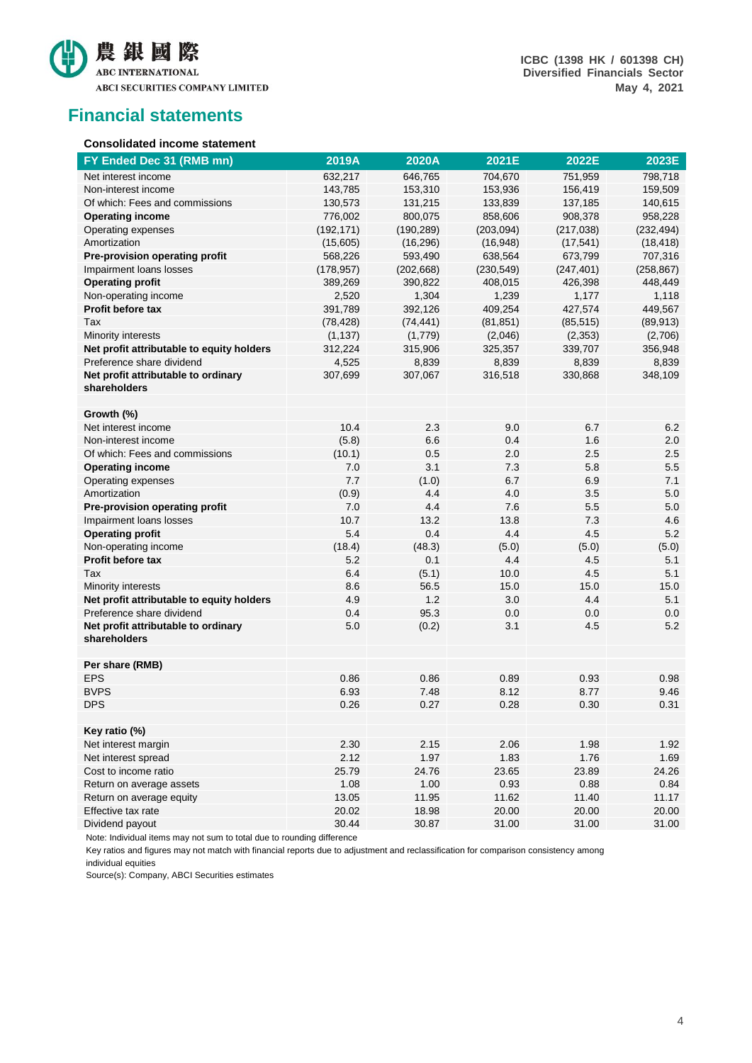

**ICBC (1398 HK / 601398 CH) Diversified Financials Sector May 4, 2021**

# **Financial statements**

# **Consolidated income statement**

| FY Ended Dec 31 (RMB mn)                            | 2019A      | 2020A      | 2021E      | 2022E      | 2023E      |
|-----------------------------------------------------|------------|------------|------------|------------|------------|
| Net interest income                                 | 632,217    | 646,765    | 704,670    | 751,959    | 798,718    |
| Non-interest income                                 | 143,785    | 153,310    | 153,936    | 156,419    | 159,509    |
| Of which: Fees and commissions                      | 130,573    | 131,215    | 133,839    | 137,185    | 140,615    |
| <b>Operating income</b>                             | 776,002    | 800,075    | 858,606    | 908,378    | 958,228    |
| Operating expenses                                  | (192, 171) | (190, 289) | (203, 094) | (217, 038) | (232, 494) |
| Amortization                                        | (15,605)   | (16, 296)  | (16, 948)  | (17, 541)  | (18, 418)  |
| Pre-provision operating profit                      | 568,226    | 593,490    | 638,564    | 673,799    | 707,316    |
| Impairment loans losses                             | (178, 957) | (202, 668) | (230, 549) | (247, 401) | (258, 867) |
| <b>Operating profit</b>                             | 389,269    | 390,822    | 408,015    | 426,398    | 448,449    |
| Non-operating income                                | 2,520      | 1,304      | 1,239      | 1,177      | 1,118      |
| <b>Profit before tax</b>                            | 391,789    | 392,126    | 409,254    | 427,574    | 449,567    |
| Tax                                                 | (78, 428)  | (74, 441)  | (81, 851)  | (85, 515)  | (89, 913)  |
| Minority interests                                  | (1, 137)   | (1,779)    | (2,046)    | (2,353)    | (2,706)    |
| Net profit attributable to equity holders           | 312,224    | 315,906    | 325,357    | 339,707    | 356,948    |
| Preference share dividend                           | 4,525      | 8,839      | 8,839      | 8,839      | 8,839      |
| Net profit attributable to ordinary<br>shareholders | 307,699    | 307,067    | 316,518    | 330,868    | 348,109    |
| Growth (%)                                          |            |            |            |            |            |
| Net interest income                                 | 10.4       | 2.3        | 9.0        | 6.7        | 6.2        |
| Non-interest income                                 | (5.8)      | 6.6        | 0.4        | 1.6        | 2.0        |
| Of which: Fees and commissions                      | (10.1)     | 0.5        | 2.0        | 2.5        | 2.5        |
| <b>Operating income</b>                             | 7.0        | 3.1        | 7.3        | 5.8        | 5.5        |
| Operating expenses                                  | 7.7        | (1.0)      | 6.7        | 6.9        | 7.1        |
| Amortization                                        | (0.9)      | 4.4        | 4.0        | 3.5        | 5.0        |
| Pre-provision operating profit                      | 7.0        | 4.4        | 7.6        | 5.5        | 5.0        |
| Impairment loans losses                             | 10.7       | 13.2       | 13.8       | 7.3        | 4.6        |
| <b>Operating profit</b>                             | 5.4        | 0.4        | 4.4        | 4.5        | 5.2        |
| Non-operating income                                | (18.4)     | (48.3)     | (5.0)      | (5.0)      | (5.0)      |
| <b>Profit before tax</b>                            | 5.2        | 0.1        | 4.4        | 4.5        | 5.1        |
| Tax                                                 | 6.4        | (5.1)      | 10.0       | 4.5        | 5.1        |
| Minority interests                                  | 8.6        | 56.5       | 15.0       | 15.0       | 15.0       |
| Net profit attributable to equity holders           | 4.9        | 1.2        | 3.0        | 4.4        | 5.1        |
| Preference share dividend                           | 0.4        | 95.3       | 0.0        | 0.0        | 0.0        |
| Net profit attributable to ordinary                 | 5.0        | (0.2)      | 3.1        | 4.5        | 5.2        |
| shareholders                                        |            |            |            |            |            |
|                                                     |            |            |            |            |            |
| Per share (RMB)                                     |            |            |            |            |            |
| <b>EPS</b>                                          | 0.86       | 0.86       | 0.89       | 0.93       | 0.98       |
| <b>BVPS</b>                                         | 6.93       | 7.48       | 8.12       | 8.77       | 9.46       |
| <b>DPS</b>                                          | 0.26       | 0.27       | 0.28       | 0.30       | 0.31       |
|                                                     |            |            |            |            |            |
| Key ratio (%)                                       |            |            |            |            |            |
| Net interest margin                                 | 2.30       | 2.15       | 2.06       | 1.98       | 1.92       |
| Net interest spread                                 | 2.12       | 1.97       | 1.83       | 1.76       | 1.69       |
| Cost to income ratio                                | 25.79      | 24.76      | 23.65      | 23.89      | 24.26      |
| Return on average assets                            | 1.08       | 1.00       | 0.93       | 0.88       | 0.84       |
| Return on average equity                            | 13.05      | 11.95      | 11.62      | 11.40      | 11.17      |
| Effective tax rate                                  | 20.02      | 18.98      | 20.00      | 20.00      | 20.00      |
| Dividend payout                                     | 30.44      | 30.87      | 31.00      | 31.00      | 31.00      |

Note: Individual items may not sum to total due to rounding difference

Key ratios and figures may not match with financial reports due to adjustment and reclassification for comparison consistency among individual equities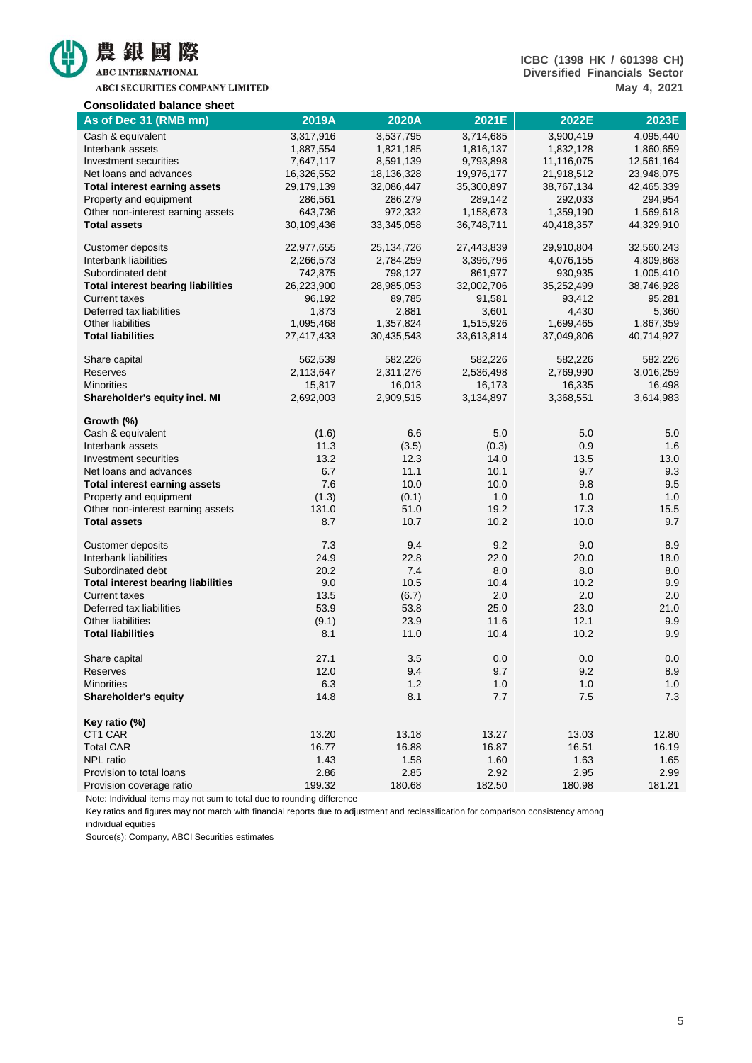

ABCI SECURITIES COMPANY LIMITED

# **ICBC (1398 HK / 601398 CH) Diversified Financials Sector May 4, 2021**

| <b>Consolidated balance sheet</b>         |            |            |            |            |            |
|-------------------------------------------|------------|------------|------------|------------|------------|
| As of Dec 31 (RMB mn)                     | 2019A      | 2020A      | 2021E      | 2022E      | 2023E      |
| Cash & equivalent                         | 3,317,916  | 3,537,795  | 3,714,685  | 3,900,419  | 4,095,440  |
| Interbank assets                          | 1,887,554  | 1,821,185  | 1,816,137  | 1,832,128  | 1,860,659  |
| Investment securities                     | 7,647,117  | 8,591,139  | 9,793,898  | 11,116,075 | 12,561,164 |
| Net loans and advances                    | 16,326,552 | 18,136,328 | 19,976,177 | 21,918,512 | 23,948,075 |
| <b>Total interest earning assets</b>      | 29,179,139 | 32,086,447 | 35,300,897 | 38,767,134 | 42,465,339 |
| Property and equipment                    | 286,561    | 286,279    | 289,142    | 292,033    | 294,954    |
| Other non-interest earning assets         | 643,736    | 972,332    | 1,158,673  | 1,359,190  | 1,569,618  |
| <b>Total assets</b>                       | 30,109,436 | 33,345,058 | 36,748,711 | 40,418,357 | 44,329,910 |
| <b>Customer deposits</b>                  | 22,977,655 | 25,134,726 | 27,443,839 | 29,910,804 | 32,560,243 |
| Interbank liabilities                     | 2,266,573  | 2,784,259  | 3,396,796  | 4,076,155  | 4,809,863  |
| Subordinated debt                         | 742,875    | 798,127    | 861,977    | 930,935    | 1,005,410  |
| <b>Total interest bearing liabilities</b> | 26,223,900 | 28,985,053 | 32,002,706 | 35,252,499 | 38,746,928 |
| <b>Current taxes</b>                      | 96,192     | 89,785     | 91,581     | 93,412     | 95,281     |
| Deferred tax liabilities                  | 1,873      | 2,881      | 3,601      | 4,430      | 5,360      |
| Other liabilities                         | 1,095,468  | 1,357,824  | 1,515,926  | 1,699,465  | 1,867,359  |
| <b>Total liabilities</b>                  | 27,417,433 | 30,435,543 | 33,613,814 | 37,049,806 | 40,714,927 |
| Share capital                             | 562,539    | 582,226    | 582,226    | 582,226    | 582,226    |
| Reserves                                  | 2,113,647  | 2,311,276  | 2,536,498  | 2,769,990  | 3,016,259  |
| <b>Minorities</b>                         | 15,817     | 16,013     | 16,173     | 16,335     | 16,498     |
| Shareholder's equity incl. MI             | 2,692,003  | 2,909,515  | 3,134,897  | 3,368,551  | 3,614,983  |
| Growth (%)                                |            |            |            |            |            |
| Cash & equivalent                         | (1.6)      | 6.6        | 5.0        | 5.0        | 5.0        |
| Interbank assets                          | 11.3       | (3.5)      | (0.3)      | 0.9        | 1.6        |
| Investment securities                     | 13.2       | 12.3       | 14.0       | 13.5       | 13.0       |
| Net loans and advances                    | 6.7        | 11.1       | 10.1       | 9.7        | 9.3        |
| <b>Total interest earning assets</b>      | 7.6        | 10.0       | 10.0       | 9.8        | 9.5        |
| Property and equipment                    | (1.3)      | (0.1)      | 1.0        | 1.0        | 1.0        |
| Other non-interest earning assets         | 131.0      | 51.0       | 19.2       | 17.3       | 15.5       |
| <b>Total assets</b>                       | 8.7        | 10.7       | 10.2       | 10.0       | 9.7        |
| Customer deposits                         | 7.3        | 9.4        | 9.2        | 9.0        | 8.9        |
| Interbank liabilities                     | 24.9       | 22.8       | 22.0       | 20.0       | 18.0       |
| Subordinated debt                         | 20.2       | 7.4        | 8.0        | 8.0        | 8.0        |
| <b>Total interest bearing liabilities</b> | 9.0        | 10.5       | 10.4       | 10.2       | 9.9        |
| <b>Current taxes</b>                      | 13.5       | (6.7)      | 2.0        | 2.0        | 2.0        |
| Deferred tax liabilities                  | 53.9       | 53.8       | 25.0       | 23.0       | 21.0       |
| Other liabilities                         | (9.1)      | 23.9       | 11.6       | 12.1       | 9.9        |
| <b>Total liabilities</b>                  | 8.1        | 11.0       | 10.4       | 10.2       | 9.9        |
| Share capital                             | 27.1       | 3.5        | 0.0        | 0.0        | 0.0        |
| Reserves                                  | 12.0       | 9.4        | 9.7        | 9.2        | 8.9        |
| <b>Minorities</b>                         | 6.3        | $1.2$      | 1.0        | 1.0        | 1.0        |
| Shareholder's equity                      | 14.8       | 8.1        | 7.7        | 7.5        | 7.3        |
| Key ratio (%)                             |            |            |            |            |            |
| CT1 CAR                                   | 13.20      | 13.18      | 13.27      | 13.03      | 12.80      |
| <b>Total CAR</b>                          | 16.77      | 16.88      | 16.87      | 16.51      | 16.19      |
| NPL ratio                                 | 1.43       | 1.58       | 1.60       | 1.63       | 1.65       |
| Provision to total loans                  | 2.86       | 2.85       | 2.92       | 2.95       | 2.99       |
| Provision coverage ratio                  | 199.32     | 180.68     | 182.50     | 180.98     | 181.21     |

Note: Individual items may not sum to total due to rounding difference

Key ratios and figures may not match with financial reports due to adjustment and reclassification for comparison consistency among

individual equities